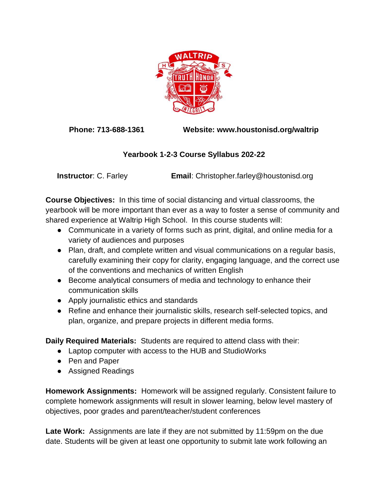

**Phone: 713-688-1361 Website: www.houstonisd.org/waltrip**

## **Yearbook 1-2-3 Course Syllabus 202-22**

**Instructor**: C. Farley **Email**: Christopher.farley@houstonisd.org

**Course Objectives:** In this time of social distancing and virtual classrooms, the yearbook will be more important than ever as a way to foster a sense of community and shared experience at Waltrip High School. In this course students will:

- Communicate in a variety of forms such as print, digital, and online media for a variety of audiences and purposes
- Plan, draft, and complete written and visual communications on a regular basis, carefully examining their copy for clarity, engaging language, and the correct use of the conventions and mechanics of written English
- Become analytical consumers of media and technology to enhance their communication skills
- Apply journalistic ethics and standards
- Refine and enhance their journalistic skills, research self-selected topics, and plan, organize, and prepare projects in different media forms.

**Daily Required Materials:** Students are required to attend class with their:

- Laptop computer with access to the HUB and StudioWorks
- Pen and Paper
- Assigned Readings

**Homework Assignments:** Homework will be assigned regularly. Consistent failure to complete homework assignments will result in slower learning, below level mastery of objectives, poor grades and parent/teacher/student conferences

**Late Work:** Assignments are late if they are not submitted by 11:59pm on the due date. Students will be given at least one opportunity to submit late work following an